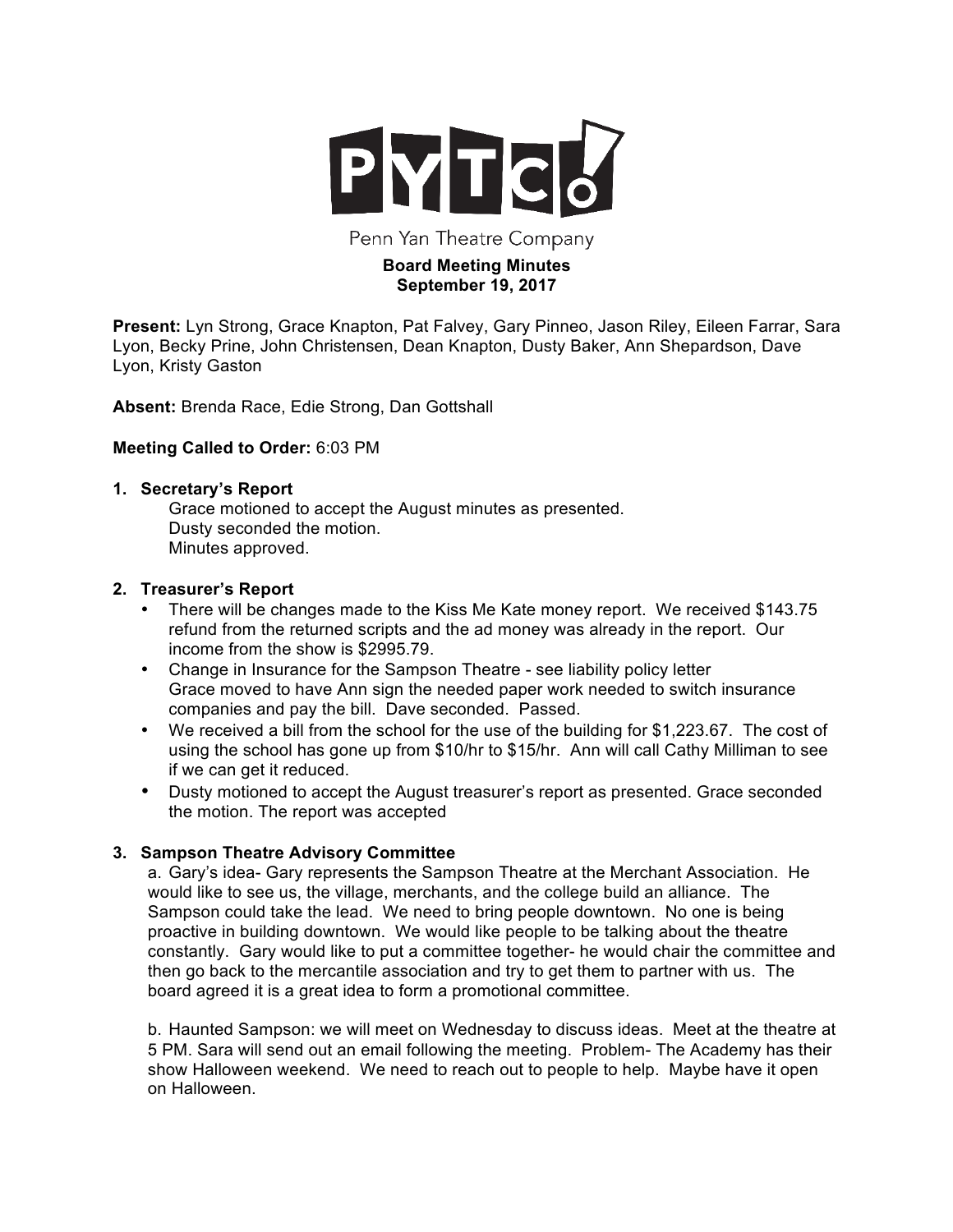

Penn Yan Theatre Company

## **Board Meeting Minutes September 19, 2017**

**Present:** Lyn Strong, Grace Knapton, Pat Falvey, Gary Pinneo, Jason Riley, Eileen Farrar, Sara Lyon, Becky Prine, John Christensen, Dean Knapton, Dusty Baker, Ann Shepardson, Dave Lyon, Kristy Gaston

**Absent:** Brenda Race, Edie Strong, Dan Gottshall

# **Meeting Called to Order:** 6:03 PM

## **1. Secretary's Report**

Grace motioned to accept the August minutes as presented. Dusty seconded the motion. Minutes approved.

# **2. Treasurer's Report**

- There will be changes made to the Kiss Me Kate money report. We received \$143.75 refund from the returned scripts and the ad money was already in the report. Our income from the show is \$2995.79.
- Change in Insurance for the Sampson Theatre see liability policy letter Grace moved to have Ann sign the needed paper work needed to switch insurance companies and pay the bill. Dave seconded. Passed.
- We received a bill from the school for the use of the building for \$1,223.67. The cost of using the school has gone up from \$10/hr to \$15/hr. Ann will call Cathy Milliman to see if we can get it reduced.
- Dusty motioned to accept the August treasurer's report as presented. Grace seconded the motion. The report was accepted

# **3. Sampson Theatre Advisory Committee**

a. Gary's idea- Gary represents the Sampson Theatre at the Merchant Association. He would like to see us, the village, merchants, and the college build an alliance. The Sampson could take the lead. We need to bring people downtown. No one is being proactive in building downtown. We would like people to be talking about the theatre constantly. Gary would like to put a committee together- he would chair the committee and then go back to the mercantile association and try to get them to partner with us. The board agreed it is a great idea to form a promotional committee.

b. Haunted Sampson: we will meet on Wednesday to discuss ideas. Meet at the theatre at 5 PM. Sara will send out an email following the meeting. Problem- The Academy has their show Halloween weekend. We need to reach out to people to help. Maybe have it open on Halloween.